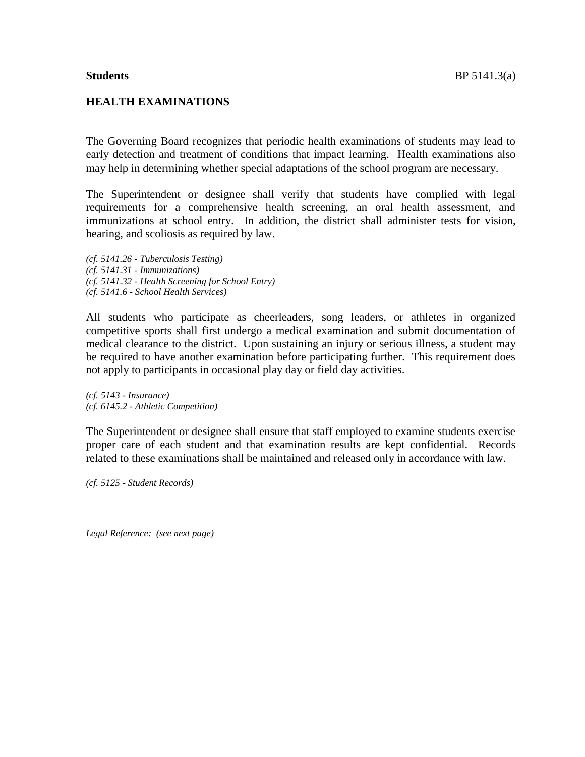## **HEALTH EXAMINATIONS**

The Governing Board recognizes that periodic health examinations of students may lead to early detection and treatment of conditions that impact learning. Health examinations also may help in determining whether special adaptations of the school program are necessary.

The Superintendent or designee shall verify that students have complied with legal requirements for a comprehensive health screening, an oral health assessment, and immunizations at school entry. In addition, the district shall administer tests for vision, hearing, and scoliosis as required by law.

*(cf. 5141.26 - Tuberculosis Testing) (cf. 5141.31 - Immunizations) (cf. 5141.32 - Health Screening for School Entry) (cf. 5141.6 - School Health Services)*

All students who participate as cheerleaders, song leaders, or athletes in organized competitive sports shall first undergo a medical examination and submit documentation of medical clearance to the district. Upon sustaining an injury or serious illness, a student may be required to have another examination before participating further. This requirement does not apply to participants in occasional play day or field day activities.

*(cf. 5143 - Insurance) (cf. 6145.2 - Athletic Competition)*

The Superintendent or designee shall ensure that staff employed to examine students exercise proper care of each student and that examination results are kept confidential. Records related to these examinations shall be maintained and released only in accordance with law.

*(cf. 5125 - Student Records)*

*Legal Reference: (see next page)*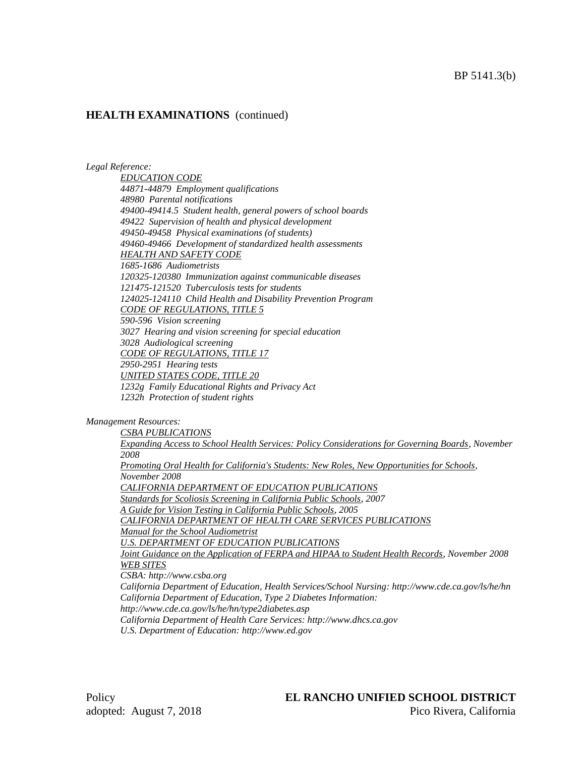#### *Legal Reference:*

*EDUCATION CODE 44871-44879 Employment qualifications 48980 Parental notifications 49400-49414.5 Student health, general powers of school boards 49422 Supervision of health and physical development 49450-49458 Physical examinations (of students) 49460-49466 Development of standardized health assessments HEALTH AND SAFETY CODE 1685-1686 Audiometrists 120325-120380 Immunization against communicable diseases 121475-121520 Tuberculosis tests for students 124025-124110 Child Health and Disability Prevention Program CODE OF REGULATIONS, TITLE 5 590-596 Vision screening 3027 Hearing and vision screening for special education 3028 Audiological screening CODE OF REGULATIONS, TITLE 17 2950-2951 Hearing tests UNITED STATES CODE, TITLE 20 1232g Family Educational Rights and Privacy Act 1232h Protection of student rights*

#### *Management Resources:*

*CSBA PUBLICATIONS*

*Expanding Access to School Health Services: Policy Considerations for Governing Boards, November 2008*

*Promoting Oral Health for California's Students: New Roles, New Opportunities for Schools, November 2008*

*CALIFORNIA DEPARTMENT OF EDUCATION PUBLICATIONS*

*Standards for Scoliosis Screening in California Public Schools, 2007*

*A Guide for Vision Testing in California Public Schools, 2005*

*CALIFORNIA DEPARTMENT OF HEALTH CARE SERVICES PUBLICATIONS*

*Manual for the School Audiometrist*

*U.S. DEPARTMENT OF EDUCATION PUBLICATIONS*

*Joint Guidance on the Application of FERPA and HIPAA to Student Health Records, November 2008 WEB SITES*

*CSBA: http://www.csba.org*

*California Department of Education, Health Services/School Nursing: http://www.cde.ca.gov/ls/he/hn California Department of Education, Type 2 Diabetes Information:* 

*http://www.cde.ca.gov/ls/he/hn/type2diabetes.asp*

*California Department of Health Care Services: http://www.dhcs.ca.gov*

*U.S. Department of Education: http://www.ed.gov*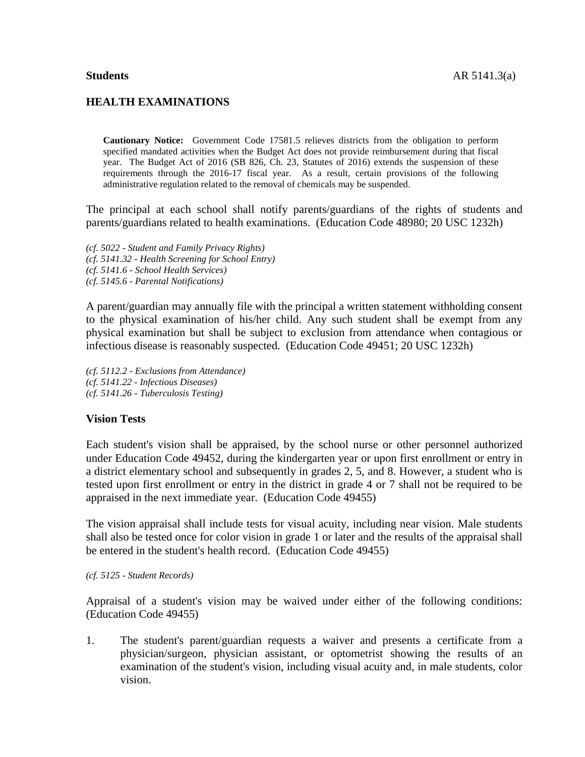# **HEALTH EXAMINATIONS**

**Cautionary Notice:** Government Code 17581.5 relieves districts from the obligation to perform specified mandated activities when the Budget Act does not provide reimbursement during that fiscal year. The Budget Act of 2016 (SB 826, Ch. 23, Statutes of 2016) extends the suspension of these requirements through the 2016-17 fiscal year. As a result, certain provisions of the following administrative regulation related to the removal of chemicals may be suspended.

The principal at each school shall notify parents/guardians of the rights of students and parents/guardians related to health examinations. (Education Code 48980; 20 USC 1232h)

*(cf. 5022 - Student and Family Privacy Rights) (cf. 5141.32 - Health Screening for School Entry) (cf. 5141.6 - School Health Services) (cf. 5145.6 - Parental Notifications)*

A parent/guardian may annually file with the principal a written statement withholding consent to the physical examination of his/her child. Any such student shall be exempt from any physical examination but shall be subject to exclusion from attendance when contagious or infectious disease is reasonably suspected. (Education Code 49451; 20 USC 1232h)

*(cf. 5112.2 - Exclusions from Attendance) (cf. 5141.22 - Infectious Diseases) (cf. 5141.26 - Tuberculosis Testing)*

## **Vision Tests**

Each student's vision shall be appraised, by the school nurse or other personnel authorized under Education Code 49452, during the kindergarten year or upon first enrollment or entry in a district elementary school and subsequently in grades 2, 5, and 8. However, a student who is tested upon first enrollment or entry in the district in grade 4 or 7 shall not be required to be appraised in the next immediate year. (Education Code 49455)

The vision appraisal shall include tests for visual acuity, including near vision. Male students shall also be tested once for color vision in grade 1 or later and the results of the appraisal shall be entered in the student's health record. (Education Code 49455)

### *(cf. 5125 - Student Records)*

Appraisal of a student's vision may be waived under either of the following conditions: (Education Code 49455)

1. The student's parent/guardian requests a waiver and presents a certificate from a physician/surgeon, physician assistant, or optometrist showing the results of an examination of the student's vision, including visual acuity and, in male students, color vision.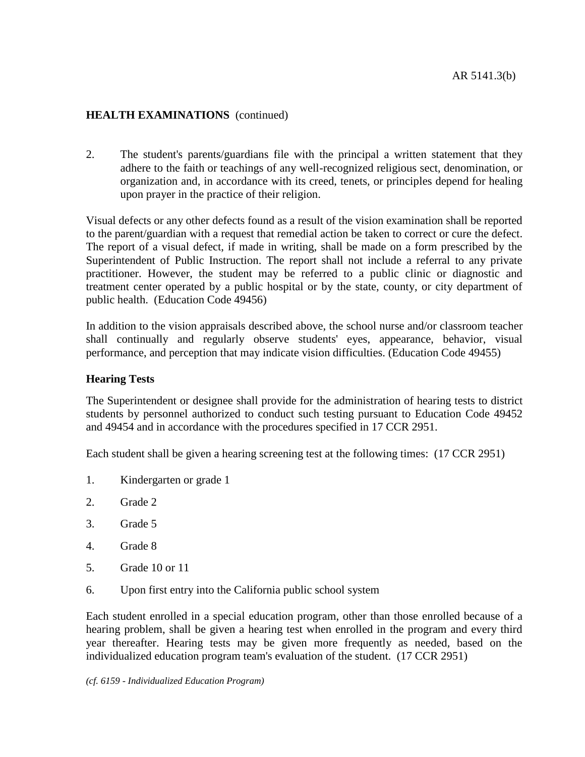2. The student's parents/guardians file with the principal a written statement that they adhere to the faith or teachings of any well-recognized religious sect, denomination, or organization and, in accordance with its creed, tenets, or principles depend for healing upon prayer in the practice of their religion.

Visual defects or any other defects found as a result of the vision examination shall be reported to the parent/guardian with a request that remedial action be taken to correct or cure the defect. The report of a visual defect, if made in writing, shall be made on a form prescribed by the Superintendent of Public Instruction. The report shall not include a referral to any private practitioner. However, the student may be referred to a public clinic or diagnostic and treatment center operated by a public hospital or by the state, county, or city department of public health. (Education Code 49456)

In addition to the vision appraisals described above, the school nurse and/or classroom teacher shall continually and regularly observe students' eyes, appearance, behavior, visual performance, and perception that may indicate vision difficulties. (Education Code 49455)

## **Hearing Tests**

The Superintendent or designee shall provide for the administration of hearing tests to district students by personnel authorized to conduct such testing pursuant to Education Code 49452 and 49454 and in accordance with the procedures specified in 17 CCR 2951.

Each student shall be given a hearing screening test at the following times: (17 CCR 2951)

- 1. Kindergarten or grade 1
- 2. Grade 2
- 3. Grade 5
- 4. Grade 8
- 5. Grade 10 or 11
- 6. Upon first entry into the California public school system

Each student enrolled in a special education program, other than those enrolled because of a hearing problem, shall be given a hearing test when enrolled in the program and every third year thereafter. Hearing tests may be given more frequently as needed, based on the individualized education program team's evaluation of the student. (17 CCR 2951)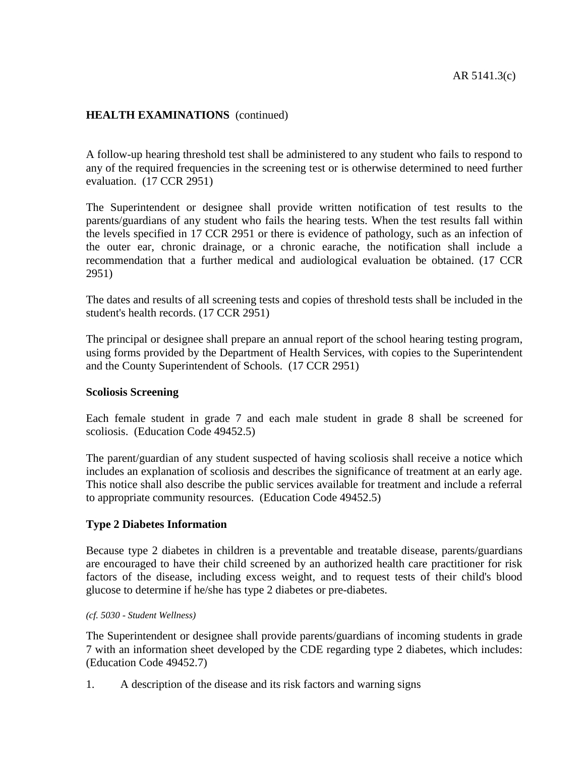A follow-up hearing threshold test shall be administered to any student who fails to respond to any of the required frequencies in the screening test or is otherwise determined to need further evaluation. (17 CCR 2951)

The Superintendent or designee shall provide written notification of test results to the parents/guardians of any student who fails the hearing tests. When the test results fall within the levels specified in 17 CCR 2951 or there is evidence of pathology, such as an infection of the outer ear, chronic drainage, or a chronic earache, the notification shall include a recommendation that a further medical and audiological evaluation be obtained. (17 CCR 2951)

The dates and results of all screening tests and copies of threshold tests shall be included in the student's health records. (17 CCR 2951)

The principal or designee shall prepare an annual report of the school hearing testing program, using forms provided by the Department of Health Services, with copies to the Superintendent and the County Superintendent of Schools. (17 CCR 2951)

## **Scoliosis Screening**

Each female student in grade 7 and each male student in grade 8 shall be screened for scoliosis. (Education Code 49452.5)

The parent/guardian of any student suspected of having scoliosis shall receive a notice which includes an explanation of scoliosis and describes the significance of treatment at an early age. This notice shall also describe the public services available for treatment and include a referral to appropriate community resources. (Education Code 49452.5)

## **Type 2 Diabetes Information**

Because type 2 diabetes in children is a preventable and treatable disease, parents/guardians are encouraged to have their child screened by an authorized health care practitioner for risk factors of the disease, including excess weight, and to request tests of their child's blood glucose to determine if he/she has type 2 diabetes or pre-diabetes.

### *(cf. 5030 - Student Wellness)*

The Superintendent or designee shall provide parents/guardians of incoming students in grade 7 with an information sheet developed by the CDE regarding type 2 diabetes, which includes: (Education Code 49452.7)

1. A description of the disease and its risk factors and warning signs